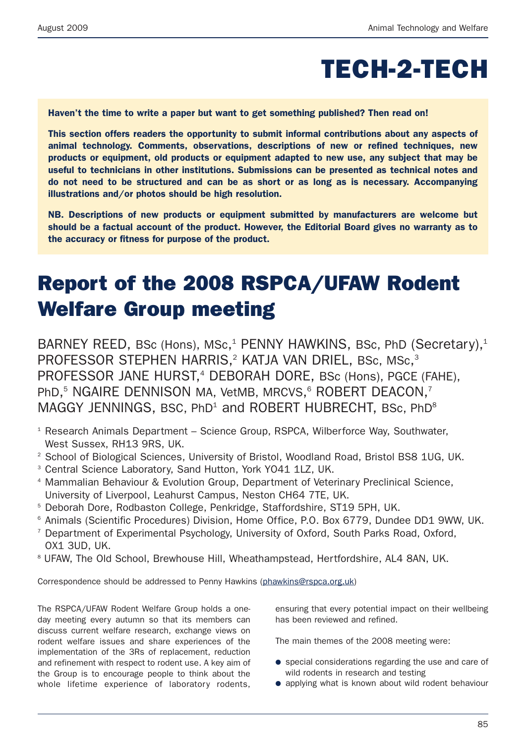# **TECH-2-TECH**

### **Haven't the time to write a paper but want to get something published? Then read on!**

**This section offers readers the opportunity to submit informal contributions about any aspects of animal technology. Comments, observations, descriptions of new or refined techniques, new products or equipment, old products or equipment adapted to new use, any subject that may be useful to technicians in other institutions. Submissions can be presented as technical notes and do not need to be structured and can be as short or as long as is necessary. Accompanying illustrations and/or photos should be high resolution.**

**NB. Descriptions of new products or equipment submitted by manufacturers are welcome but should be a factual account of the product. However, the Editorial Board gives no warranty as to the accuracy or fitness for purpose of the product.**

# **Report of the 2008 RSPCA/UFAW Rodent Welfare Group meeting**

BARNEY REED, BSc (Hons), MSc.<sup>1</sup> PENNY HAWKINS, BSc. PhD (Secretary),<sup>1</sup> PROFESSOR STEPHEN HARRIS.<sup>2</sup> KATJA VAN DRIEL, BSc. MSc.<sup>3</sup> PROFESSOR JANE HURST, <sup>4</sup> DEBORAH DORE, BSc (Hons), PGCE (FAHE), PhD.<sup>5</sup> NGAIRE DENNISON MA, VetMB, MRCVS.<sup>6</sup> ROBERT DEACON.<sup>7</sup> MAGGY JENNINGS, BSC, PhD<sup>1</sup> and ROBERT HUBRECHT, BSc, PhD<sup>8</sup>

- <sup>1</sup> Research Animals Department Science Group, RSPCA, Wilberforce Way, Southwater, West Sussex, RH13 9RS, UK.
- <sup>2</sup> School of Biological Sciences, University of Bristol, Woodland Road, Bristol BS8 1UG, UK.
- <sup>3</sup> Central Science Laboratory, Sand Hutton, York YO41 1LZ, UK.
- <sup>4</sup> Mammalian Behaviour & Evolution Group, Department of Veterinary Preclinical Science, University of Liverpool, Leahurst Campus, Neston CH64 7TE, UK.
- <sup>5</sup> Deborah Dore, Rodbaston College, Penkridge, Staffordshire, ST19 5PH, UK.
- <sup>6</sup> Animals (Scientific Procedures) Division, Home Office, P.O. Box 6779, Dundee DD1 9WW, UK.
- <sup>7</sup> Department of Experimental Psychology, University of Oxford, South Parks Road, Oxford, OX1 3UD, UK.
- <sup>8</sup> UFAW, The Old School, Brewhouse Hill, Wheathampstead, Hertfordshire, AL4 8AN, UK.

Correspondence should be addressed to Penny Hawkins (phawkins@rspca.org.uk)

The RSPCA/UFAW Rodent Welfare Group holds a oneday meeting every autumn so that its members can discuss current welfare research, exchange views on rodent welfare issues and share experiences of the implementation of the 3Rs of replacement, reduction and refinement with respect to rodent use. A key aim of the Group is to encourage people to think about the whole lifetime experience of laboratory rodents, ensuring that every potential impact on their wellbeing has been reviewed and refined.

The main themes of the 2008 meeting were:

- **●** special considerations regarding the use and care of wild rodents in research and testing
- **●** applying what is known about wild rodent behaviour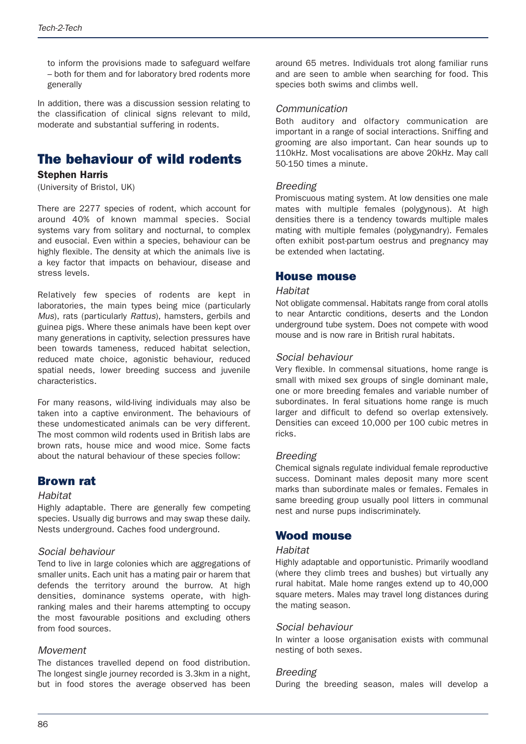to inform the provisions made to safeguard welfare – both for them and for laboratory bred rodents more generally

In addition, there was a discussion session relating to the classification of clinical signs relevant to mild, moderate and substantial suffering in rodents.

# **The behaviour of wild rodents**

### **Stephen Harris**

(University of Bristol, UK)

There are 2277 species of rodent, which account for around 40% of known mammal species. Social systems vary from solitary and nocturnal, to complex and eusocial. Even within a species, behaviour can be highly flexible. The density at which the animals live is a key factor that impacts on behaviour, disease and stress levels.

Relatively few species of rodents are kept in laboratories, the main types being mice (particularly *Mus*), rats (particularly *Rattus*), hamsters, gerbils and guinea pigs. Where these animals have been kept over many generations in captivity, selection pressures have been towards tameness, reduced habitat selection, reduced mate choice, agonistic behaviour, reduced spatial needs, lower breeding success and juvenile characteristics.

For many reasons, wild-living individuals may also be taken into a captive environment. The behaviours of these undomesticated animals can be very different. The most common wild rodents used in British labs are brown rats, house mice and wood mice. Some facts about the natural behaviour of these species follow:

### **Brown rat**

#### *Habitat*

Highly adaptable. There are generally few competing species. Usually dig burrows and may swap these daily. Nests underground. Caches food underground.

### *Social behaviour*

Tend to live in large colonies which are aggregations of smaller units. Each unit has a mating pair or harem that defends the territory around the burrow. At high densities, dominance systems operate, with highranking males and their harems attempting to occupy the most favourable positions and excluding others from food sources.

### *Movement*

The distances travelled depend on food distribution. The longest single journey recorded is 3.3km in a night, but in food stores the average observed has been

around 65 metres. Individuals trot along familiar runs and are seen to amble when searching for food. This species both swims and climbs well.

### *Communication*

Both auditory and olfactory communication are important in a range of social interactions. Sniffing and grooming are also important. Can hear sounds up to 110kHz. Most vocalisations are above 20kHz. May call 50-150 times a minute.

### *Breeding*

Promiscuous mating system. At low densities one male mates with multiple females (polygynous). At high densities there is a tendency towards multiple males mating with multiple females (polygynandry). Females often exhibit post-partum oestrus and pregnancy may be extended when lactating.

### **House mouse**

#### *Habitat*

Not obligate commensal. Habitats range from coral atolls to near Antarctic conditions, deserts and the London underground tube system. Does not compete with wood mouse and is now rare in British rural habitats.

### *Social behaviour*

Very flexible. In commensal situations, home range is small with mixed sex groups of single dominant male, one or more breeding females and variable number of subordinates. In feral situations home range is much larger and difficult to defend so overlap extensively. Densities can exceed 10,000 per 100 cubic metres in ricks.

### *Breeding*

Chemical signals regulate individual female reproductive success. Dominant males deposit many more scent marks than subordinate males or females. Females in same breeding group usually pool litters in communal nest and nurse pups indiscriminately.

### **Wood mouse**

#### *Habitat*

Highly adaptable and opportunistic. Primarily woodland (where they climb trees and bushes) but virtually any rural habitat. Male home ranges extend up to 40,000 square meters. Males may travel long distances during the mating season.

### *Social behaviour*

In winter a loose organisation exists with communal nesting of both sexes.

#### *Breeding*

During the breeding season, males will develop a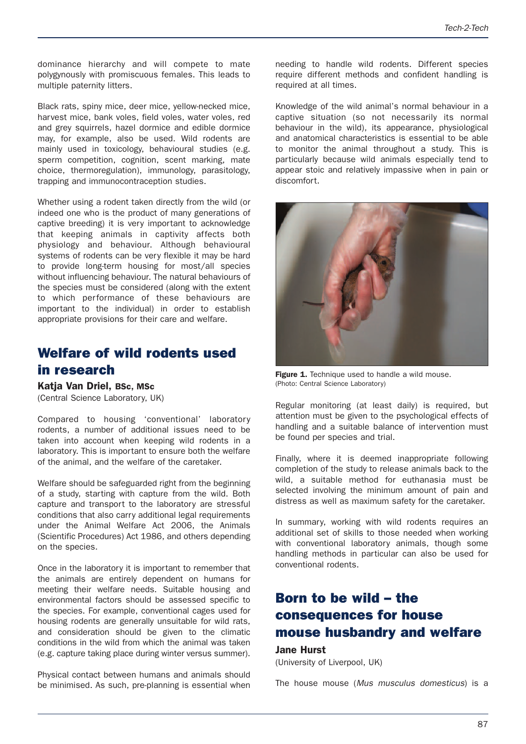dominance hierarchy and will compete to mate polygynously with promiscuous females. This leads to multiple paternity litters.

Black rats, spiny mice, deer mice, yellow-necked mice, harvest mice, bank voles, field voles, water voles, red and grey squirrels, hazel dormice and edible dormice may, for example, also be used. Wild rodents are mainly used in toxicology, behavioural studies (e.g. sperm competition, cognition, scent marking, mate choice, thermoregulation), immunology, parasitology, trapping and immunocontraception studies.

Whether using a rodent taken directly from the wild (or indeed one who is the product of many generations of captive breeding) it is very important to acknowledge that keeping animals in captivity affects both physiology and behaviour. Although behavioural systems of rodents can be very flexible it may be hard to provide long-term housing for most/all species without influencing behaviour. The natural behaviours of the species must be considered (along with the extent to which performance of these behaviours are important to the individual) in order to establish appropriate provisions for their care and welfare.

# **Welfare of wild rodents used in research**

**Katja Van Driel, BSc, MSc**

(Central Science Laboratory, UK)

Compared to housing 'conventional' laboratory rodents, a number of additional issues need to be taken into account when keeping wild rodents in a laboratory. This is important to ensure both the welfare of the animal, and the welfare of the caretaker.

Welfare should be safeguarded right from the beginning of a study, starting with capture from the wild. Both capture and transport to the laboratory are stressful conditions that also carry additional legal requirements under the Animal Welfare Act 2006, the Animals (Scientific Procedures) Act 1986, and others depending on the species.

Once in the laboratory it is important to remember that the animals are entirely dependent on humans for meeting their welfare needs. Suitable housing and environmental factors should be assessed specific to the species. For example, conventional cages used for housing rodents are generally unsuitable for wild rats, and consideration should be given to the climatic conditions in the wild from which the animal was taken (e.g. capture taking place during winter versus summer).

Physical contact between humans and animals should be minimised. As such, pre-planning is essential when

needing to handle wild rodents. Different species require different methods and confident handling is required at all times.

Knowledge of the wild animal's normal behaviour in a captive situation (so not necessarily its normal behaviour in the wild), its appearance, physiological and anatomical characteristics is essential to be able to monitor the animal throughout a study. This is particularly because wild animals especially tend to appear stoic and relatively impassive when in pain or discomfort.



**Figure 1.** Technique used to handle a wild mouse. (Photo: Central Science Laboratory)

Regular monitoring (at least daily) is required, but attention must be given to the psychological effects of handling and a suitable balance of intervention must be found per species and trial.

Finally, where it is deemed inappropriate following completion of the study to release animals back to the wild, a suitable method for euthanasia must be selected involving the minimum amount of pain and distress as well as maximum safety for the caretaker.

In summary, working with wild rodents requires an additional set of skills to those needed when working with conventional laboratory animals, though some handling methods in particular can also be used for conventional rodents.

# **Born to be wild – the consequences for house mouse husbandry and welfare**

### **Jane Hurst**

(University of Liverpool, UK)

The house mouse (*Mus musculus domesticus*) is a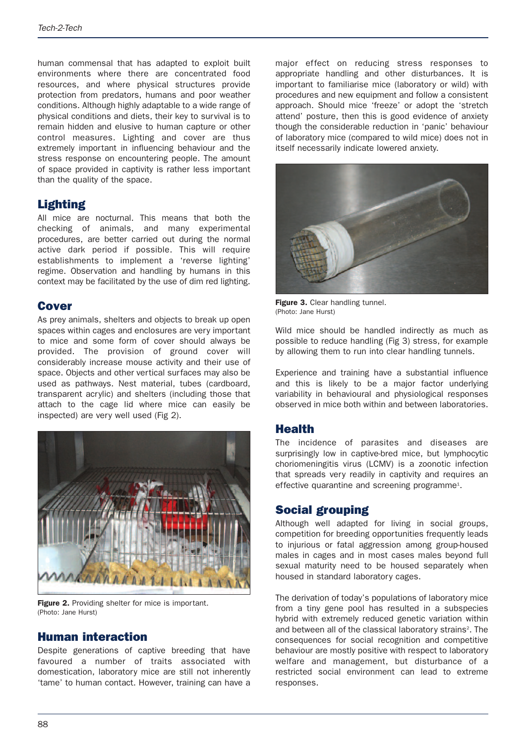human commensal that has adapted to exploit built environments where there are concentrated food resources, and where physical structures provide protection from predators, humans and poor weather conditions. Although highly adaptable to a wide range of physical conditions and diets, their key to survival is to remain hidden and elusive to human capture or other control measures. Lighting and cover are thus extremely important in influencing behaviour and the stress response on encountering people. The amount of space provided in captivity is rather less important than the quality of the space.

# **Lighting**

All mice are nocturnal. This means that both the checking of animals, and many experimental procedures, are better carried out during the normal active dark period if possible. This will require establishments to implement a 'reverse lighting' regime. Observation and handling by humans in this context may be facilitated by the use of dim red lighting.

### **Cover**

As prey animals, shelters and objects to break up open spaces within cages and enclosures are very important to mice and some form of cover should always be provided. The provision of ground cover will considerably increase mouse activity and their use of space. Objects and other vertical surfaces may also be used as pathways. Nest material, tubes (cardboard, transparent acrylic) and shelters (including those that attach to the cage lid where mice can easily be inspected) are very well used (Fig 2).



**Figure 2.** Providing shelter for mice is important. (Photo: Jane Hurst)

### **Human interaction**

Despite generations of captive breeding that have favoured a number of traits associated with domestication, laboratory mice are still not inherently 'tame' to human contact. However, training can have a major effect on reducing stress responses to appropriate handling and other disturbances. It is important to familiarise mice (laboratory or wild) with procedures and new equipment and follow a consistent approach. Should mice 'freeze' or adopt the 'stretch attend' posture, then this is good evidence of anxiety though the considerable reduction in 'panic' behaviour of laboratory mice (compared to wild mice) does not in itself necessarily indicate lowered anxiety.



**Figure 3.** Clear handling tunnel. (Photo: Jane Hurst)

Wild mice should be handled indirectly as much as possible to reduce handling (Fig 3) stress, for example by allowing them to run into clear handling tunnels.

Experience and training have a substantial influence and this is likely to be a major factor underlying variability in behavioural and physiological responses observed in mice both within and between laboratories.

# **Health**

The incidence of parasites and diseases are surprisingly low in captive-bred mice, but lymphocytic choriomeningitis virus (LCMV) is a zoonotic infection that spreads very readily in captivity and requires an effective quarantine and screening programme<sup>1</sup>.

# **Social grouping**

Although well adapted for living in social groups, competition for breeding opportunities frequently leads to injurious or fatal aggression among group-housed males in cages and in most cases males beyond full sexual maturity need to be housed separately when housed in standard laboratory cages.

The derivation of today's populations of laboratory mice from a tiny gene pool has resulted in a subspecies hybrid with extremely reduced genetic variation within and between all of the classical laboratory strains<sup>2</sup>. The consequences for social recognition and competitive behaviour are mostly positive with respect to laboratory welfare and management, but disturbance of a restricted social environment can lead to extreme responses.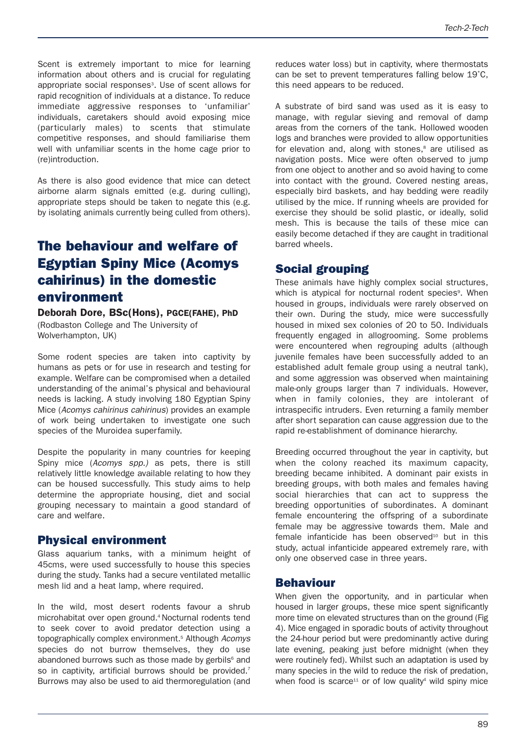Scent is extremely important to mice for learning information about others and is crucial for regulating appropriate social responses<sup>3</sup>. Use of scent allows for rapid recognition of individuals at a distance. To reduce immediate aggressive responses to 'unfamiliar' individuals, caretakers should avoid exposing mice (particularly males) to scents that stimulate competitive responses, and should familiarise them well with unfamiliar scents in the home cage prior to (re)introduction.

As there is also good evidence that mice can detect airborne alarm signals emitted (e.g. during culling), appropriate steps should be taken to negate this (e.g. by isolating animals currently being culled from others).

# **The behaviour and welfare of Egyptian Spiny Mice (Acomys cahirinus) in the domestic environment**

**Deborah Dore, BSc(Hons), PGCE(FAHE), PhD** (Rodbaston College and The University of Wolverhampton, UK)

Some rodent species are taken into captivity by humans as pets or for use in research and testing for example. Welfare can be compromised when a detailed understanding of the animal's physical and behavioural needs is lacking. A study involving 180 Egyptian Spiny Mice (*Acomys cahirinus cahirinus*) provides an example of work being undertaken to investigate one such species of the Muroidea superfamily.

Despite the popularity in many countries for keeping Spiny mice (*Acomys spp.)* as pets, there is still relatively little knowledge available relating to how they can be housed successfully. This study aims to help determine the appropriate housing, diet and social grouping necessary to maintain a good standard of care and welfare.

### **Physical environment**

Glass aquarium tanks, with a minimum height of 45cms, were used successfully to house this species during the study. Tanks had a secure ventilated metallic mesh lid and a heat lamp, where required.

In the wild, most desert rodents favour a shrub microhabitat over open ground. <sup>4</sup> Nocturnal rodents tend to seek cover to avoid predator detection using a topographically complex environment. <sup>5</sup> Although *Acomys* species do not burrow themselves, they do use abandoned burrows such as those made by gerbils<sup>6</sup> and so in captivity, artificial burrows should be provided.<sup>7</sup> Burrows may also be used to aid thermoregulation (and

reduces water loss) but in captivity, where thermostats can be set to prevent temperatures falling below 19˚C, this need appears to be reduced.

A substrate of bird sand was used as it is easy to manage, with regular sieving and removal of damp areas from the corners of the tank. Hollowed wooden logs and branches were provided to allow opportunities for elevation and, along with stones, <sup>8</sup> are utilised as navigation posts. Mice were often observed to jump from one object to another and so avoid having to come into contact with the ground. Covered nesting areas, especially bird baskets, and hay bedding were readily utilised by the mice. If running wheels are provided for exercise they should be solid plastic, or ideally, solid mesh. This is because the tails of these mice can easily become detached if they are caught in traditional barred wheels.

# **Social grouping**

These animals have highly complex social structures, which is atypical for nocturnal rodent species<sup>9</sup>. When housed in groups, individuals were rarely observed on their own. During the study, mice were successfully housed in mixed sex colonies of 20 to 50. Individuals frequently engaged in allogrooming. Some problems were encountered when regrouping adults (although juvenile females have been successfully added to an established adult female group using a neutral tank), and some aggression was observed when maintaining male-only groups larger than 7 individuals. However, when in family colonies, they are intolerant of intraspecific intruders. Even returning a family member after short separation can cause aggression due to the rapid re-establishment of dominance hierarchy.

Breeding occurred throughout the year in captivity, but when the colony reached its maximum capacity, breeding became inhibited. A dominant pair exists in breeding groups, with both males and females having social hierarchies that can act to suppress the breeding opportunities of subordinates. A dominant female encountering the offspring of a subordinate female may be aggressive towards them. Male and female infanticide has been observed $10$  but in this study, actual infanticide appeared extremely rare, with only one observed case in three years.

# **Behaviour**

When given the opportunity, and in particular when housed in larger groups, these mice spent significantly more time on elevated structures than on the ground (Fig 4). Mice engaged in sporadic bouts of activity throughout the 24-hour period but were predominantly active during late evening, peaking just before midnight (when they were routinely fed). Whilst such an adaptation is used by many species in the wild to reduce the risk of predation, when food is scarce<sup>11</sup> or of low quality<sup>4</sup> wild spiny mice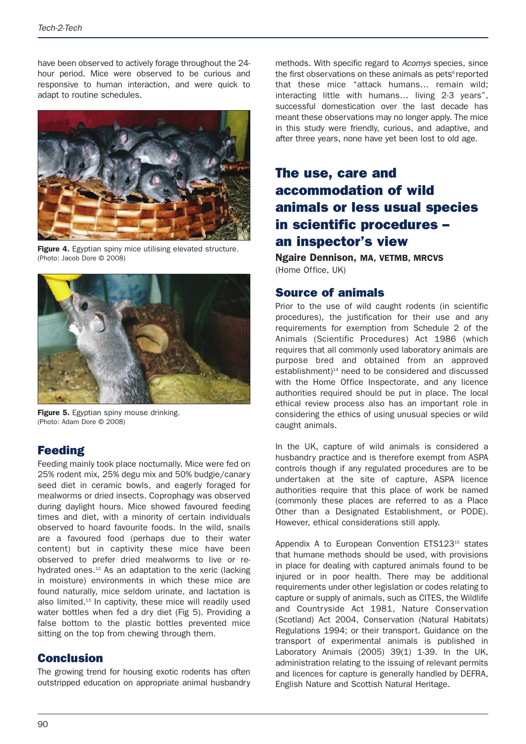have been observed to actively forage throughout the 24 hour period. Mice were observed to be curious and responsive to human interaction, and were quick to adapt to routine schedules.



**Figure 4.** Egyptian spiny mice utilising elevated structure. (Photo: Jacob Dore © 2008)



**Figure 5.** Egyptian spiny mouse drinking. (Photo: Adam Dore © 2008)

# **Feeding**

Feeding mainly took place nocturnally. Mice were fed on 25% rodent mix, 25% degu mix and 50% budgie/canary seed diet in ceramic bowls, and eagerly foraged for mealworms or dried insects. Coprophagy was observed during daylight hours. Mice showed favoured feeding times and diet, with a minority of certain individuals observed to hoard favourite foods. In the wild, snails are a favoured food (perhaps due to their water content) but in captivity these mice have been observed to prefer dried mealworms to live or rehydrated ones.<sup>12</sup> As an adaptation to the xeric (lacking in moisture) environments in which these mice are found naturally, mice seldom urinate, and lactation is also limited. <sup>13</sup> In captivity, these mice will readily used water bottles when fed a dry diet (Fig 5). Providing a false bottom to the plastic bottles prevented mice sitting on the top from chewing through them.

# **Conclusion**

The growing trend for housing exotic rodents has often outstripped education on appropriate animal husbandry methods. With specific regard to *Acomys* species, since the first observations on these animals as pets $6$  reported that these mice "attack humans… remain wild; interacting little with humans… living 2-3 years", successful domestication over the last decade has meant these observations may no longer apply. The mice in this study were friendly, curious, and adaptive, and after three years, none have yet been lost to old age.

# **The use, care and accommodation of wild animals or less usual species in scientific procedures – an inspector's view**

**Ngaire Dennison, MA, VETMB, MRCVS** (Home Office, UK)

# **Source of animals**

Prior to the use of wild caught rodents (in scientific procedures), the justification for their use and any requirements for exemption from Schedule 2 of the Animals (Scientific Procedures) Act 1986 (which requires that all commonly used laboratory animals are purpose bred and obtained from an approved establishment) <sup>14</sup> need to be considered and discussed with the Home Office Inspectorate, and any licence authorities required should be put in place. The local ethical review process also has an important role in considering the ethics of using unusual species or wild caught animals.

In the UK, capture of wild animals is considered a husbandry practice and is therefore exempt from ASPA controls though if any regulated procedures are to be undertaken at the site of capture, ASPA licence authorities require that this place of work be named (commonly these places are referred to as a Place Other than a Designated Establishment, or PODE). However, ethical considerations still apply.

Appendix A to European Convention ETS123<sup>15</sup> states that humane methods should be used, with provisions in place for dealing with captured animals found to be injured or in poor health. There may be additional requirements under other legislation or codes relating to capture or supply of animals, such as CITES, the Wildlife and Countryside Act 1981, Nature Conservation (Scotland) Act 2004, Conservation (Natural Habitats) Regulations 1994; or their transport. Guidance on the transport of experimental animals is published in Laboratory Animals (2005) 39(1) 1-39. In the UK, administration relating to the issuing of relevant permits and licences for capture is generally handled by DEFRA, English Nature and Scottish Natural Heritage.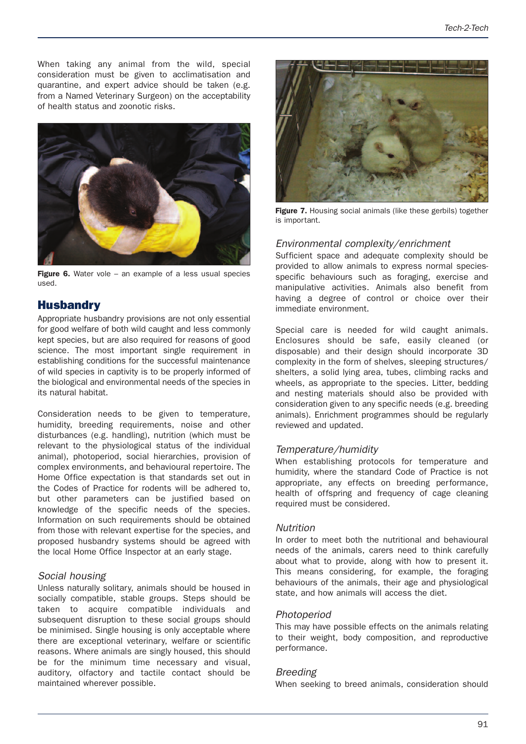When taking any animal from the wild, special consideration must be given to acclimatisation and quarantine, and expert advice should be taken (e.g. from a Named Veterinary Surgeon) on the acceptability of health status and zoonotic risks.



**Figure 6.** Water vole – an example of a less usual species used.

### **Husbandry**

Appropriate husbandry provisions are not only essential for good welfare of both wild caught and less commonly kept species, but are also required for reasons of good science. The most important single requirement in establishing conditions for the successful maintenance of wild species in captivity is to be properly informed of the biological and environmental needs of the species in its natural habitat.

Consideration needs to be given to temperature, humidity, breeding requirements, noise and other disturbances (e.g. handling), nutrition (which must be relevant to the physiological status of the individual animal), photoperiod, social hierarchies, provision of complex environments, and behavioural repertoire. The Home Office expectation is that standards set out in the Codes of Practice for rodents will be adhered to, but other parameters can be justified based on knowledge of the specific needs of the species. Information on such requirements should be obtained from those with relevant expertise for the species, and proposed husbandry systems should be agreed with the local Home Office Inspector at an early stage.

### *Social housing*

Unless naturally solitary, animals should be housed in socially compatible, stable groups. Steps should be taken to acquire compatible individuals and subsequent disruption to these social groups should be minimised. Single housing is only acceptable where there are exceptional veterinary, welfare or scientific reasons. Where animals are singly housed, this should be for the minimum time necessary and visual, auditory, olfactory and tactile contact should be maintained wherever possible.



**Figure 7.** Housing social animals (like these gerbils) together is important.

### *Environmental complexity/enrichment*

Sufficient space and adequate complexity should be provided to allow animals to express normal speciesspecific behaviours such as foraging, exercise and manipulative activities. Animals also benefit from having a degree of control or choice over their immediate environment.

Special care is needed for wild caught animals. Enclosures should be safe, easily cleaned (or disposable) and their design should incorporate 3D complexity in the form of shelves, sleeping structures/ shelters, a solid lying area, tubes, climbing racks and wheels, as appropriate to the species. Litter, bedding and nesting materials should also be provided with consideration given to any specific needs (e.g. breeding animals). Enrichment programmes should be regularly reviewed and updated.

### *Temperature/humidity*

When establishing protocols for temperature and humidity, where the standard Code of Practice is not appropriate, any effects on breeding performance, health of offspring and frequency of cage cleaning required must be considered.

### *Nutrition*

In order to meet both the nutritional and behavioural needs of the animals, carers need to think carefully about what to provide, along with how to present it. This means considering, for example, the foraging behaviours of the animals, their age and physiological state, and how animals will access the diet.

### *Photoperiod*

This may have possible effects on the animals relating to their weight, body composition, and reproductive performance.

### *Breeding*

When seeking to breed animals, consideration should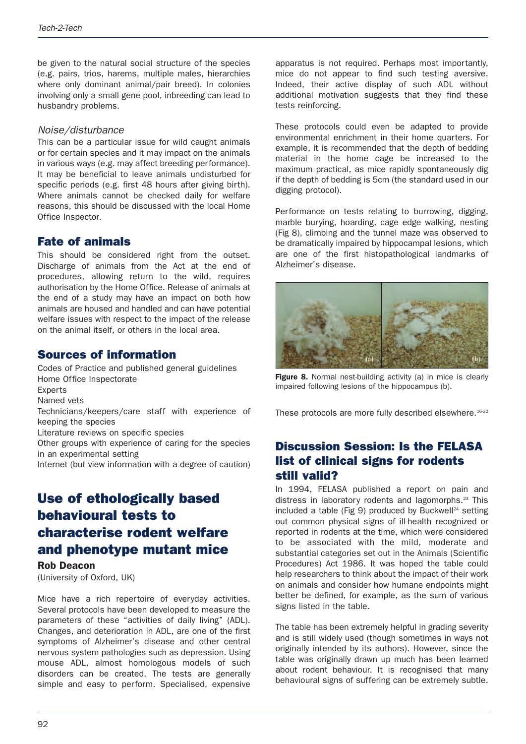be given to the natural social structure of the species (e.g. pairs, trios, harems, multiple males, hierarchies where only dominant animal/pair breed). In colonies involving only a small gene pool, inbreeding can lead to husbandry problems.

### *Noise/disturbance*

This can be a particular issue for wild caught animals or for certain species and it may impact on the animals in various ways (e.g. may affect breeding performance). It may be beneficial to leave animals undisturbed for specific periods (e.g. first 48 hours after giving birth). Where animals cannot be checked daily for welfare reasons, this should be discussed with the local Home Office Inspector.

# **Fate of animals**

This should be considered right from the outset. Discharge of animals from the Act at the end of procedures, allowing return to the wild, requires authorisation by the Home Office. Release of animals at the end of a study may have an impact on both how animals are housed and handled and can have potential welfare issues with respect to the impact of the release on the animal itself, or others in the local area.

### **Sources of information**

Codes of Practice and published general guidelines Home Office Inspectorate Experts Named vets Technicians/keepers/care staff with experience of keeping the species Literature reviews on specific species Other groups with experience of caring for the species in an experimental setting Internet (but view information with a degree of caution)

# **Use of ethologically based behavioural tests to characterise rodent welfare and phenotype mutant mice**

### **Rob Deacon**

(University of Oxford, UK)

Mice have a rich repertoire of everyday activities. Several protocols have been developed to measure the parameters of these "activities of daily living" (ADL). Changes, and deterioration in ADL, are one of the first symptoms of Alzheimer's disease and other central nervous system pathologies such as depression. Using mouse ADL, almost homologous models of such disorders can be created. The tests are generally simple and easy to perform. Specialised, expensive

apparatus is not required. Perhaps most importantly, mice do not appear to find such testing aversive. Indeed, their active display of such ADL without additional motivation suggests that they find these tests reinforcing.

These protocols could even be adapted to provide environmental enrichment in their home quarters. For example, it is recommended that the depth of bedding material in the home cage be increased to the maximum practical, as mice rapidly spontaneously dig if the depth of bedding is 5cm (the standard used in our digging protocol).

Performance on tests relating to burrowing, digging, marble burying, hoarding, cage edge walking, nesting (Fig 8), climbing and the tunnel maze was observed to be dramatically impaired by hippocampal lesions, which are one of the first histopathological landmarks of Alzheimer's disease.



**Figure 8.** Normal nest-building activity (a) in mice is clearly impaired following lesions of the hippocampus (b).

These protocols are more fully described elsewhere.<sup>16-22</sup>

# **Discussion Session: Is the FELASA list of clinical signs for rodents still valid?**

In 1994, FELASA published a report on pain and distress in laboratory rodents and lagomorphs. <sup>23</sup> This included a table (Fig 9) produced by Buckwell <sup>24</sup> setting out common physical signs of ill-health recognized or reported in rodents at the time, which were considered to be associated with the mild, moderate and substantial categories set out in the Animals (Scientific Procedures) Act 1986. It was hoped the table could help researchers to think about the impact of their work on animals and consider how humane endpoints might better be defined, for example, as the sum of various signs listed in the table.

The table has been extremely helpful in grading severity and is still widely used (though sometimes in ways not originally intended by its authors). However, since the table was originally drawn up much has been learned about rodent behaviour. It is recognised that many behavioural signs of suffering can be extremely subtle.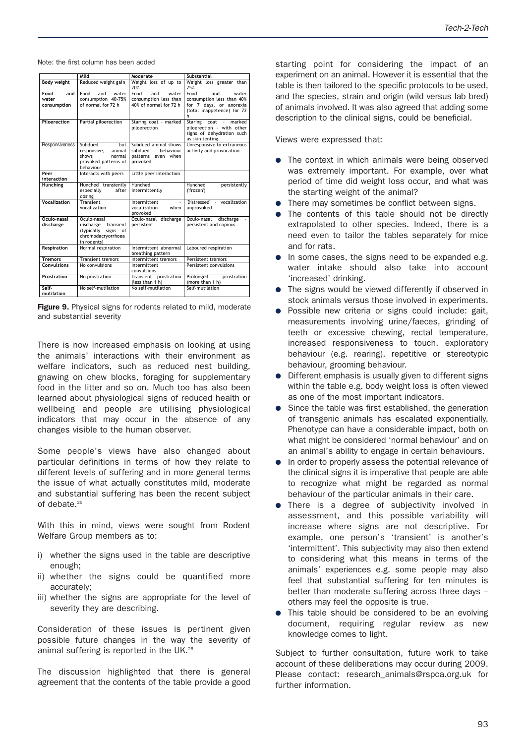Note: the first column has been added

|                                     | Mild                                                                                                 | Moderate                                                                       | Substantial                                                                                                     |
|-------------------------------------|------------------------------------------------------------------------------------------------------|--------------------------------------------------------------------------------|-----------------------------------------------------------------------------------------------------------------|
| Body weight                         | Reduced weight gain                                                                                  | Weight loss of up to<br>20%                                                    | Weight loss greater than<br>25%                                                                                 |
| Food<br>and<br>water<br>consumption | Food<br>and<br>water<br>consumption 40-75%<br>of normal for 72 h                                     | Food<br>and<br>water<br>consumption less than<br>40% of normal for 72 h        | Food<br>and<br>water<br>consumption less than 40%<br>for 7 days, or anorexia<br>(total inappetence) for 72<br>h |
| Piloerection                        | Partial piloerection                                                                                 | Staring coat - marked<br>piloerection                                          | Staring<br>marked<br>coat -<br>piloerection - with other<br>signs of dehydration such<br>as skin tenting        |
| Responsiveness                      | Subdued<br>but<br>animal<br>responsive,<br>shows<br>normal<br>provoked patterns of<br>behaviour      | Subdued animal shows<br>behaviour<br>subdued<br>patterns even when<br>provoked | Unresponsive to extraneous<br>activity and provocation                                                          |
| Peer<br>interaction                 | Interacts with peers                                                                                 | Little peer interaction                                                        |                                                                                                                 |
| Hunching                            | Hunched transiently<br>especially<br>after<br>dosing                                                 | Hunched<br>intermittently                                                      | Hunched<br>persistently<br>('frozen')                                                                           |
| Vocalization                        | Transient<br>vocalization                                                                            | Intermittent<br>vocalization<br>when<br>provoked                               | 'Distressed' -<br>vocalization<br>unprovoked                                                                    |
| Oculo-nasal<br>discharge            | Oculo-nasal<br>discharge<br>transient<br>signs of<br>(typically<br>chromodacryorrhoea<br>in rodents) | Oculo-nasal discharge<br>persistent                                            | Oculo-nasal<br>discharge<br>persistent and copious                                                              |
| Respiration                         | Normal respiration                                                                                   | Intermittent abnormal<br>breathing pattern                                     | Laboured respiration                                                                                            |
| <b>Tremors</b>                      | <b>Transient tremors</b>                                                                             | Intermittent tremors                                                           | <b>Persistent tremors</b>                                                                                       |
| <b>Convulsions</b>                  | No convulsions                                                                                       | Intermittent<br>convulsions                                                    | Persistent convulsions                                                                                          |
| <b>Prostration</b>                  | No prostration                                                                                       | Transient prostration<br>(less than 1 h)                                       | Prolonged<br>prostration<br>(more than 1 h)                                                                     |
| Self-<br>mutilation                 | No self-mutilation                                                                                   | No self-mutilation                                                             | Self-mutilation                                                                                                 |

**Figure 9.** Physical signs for rodents related to mild, moderate and substantial severity

There is now increased emphasis on looking at using the animals' interactions with their environment as welfare indicators, such as reduced nest building, gnawing on chew blocks, foraging for supplementary food in the litter and so on. Much too has also been learned about physiological signs of reduced health or wellbeing and people are utilising physiological indicators that may occur in the absence of any changes visible to the human observer.

Some people's views have also changed about particular definitions in terms of how they relate to different levels of suffering and in more general terms the issue of what actually constitutes mild, moderate and substantial suffering has been the recent subject of debate. 25

With this in mind, views were sought from Rodent Welfare Group members as to:

- i) whether the signs used in the table are descriptive enough;
- ii) whether the signs could be quantified more accurately;
- iii) whether the signs are appropriate for the level of severity they are describing.

Consideration of these issues is pertinent given possible future changes in the way the severity of animal suffering is reported in the UK.<sup>26</sup>

The discussion highlighted that there is general agreement that the contents of the table provide a good starting point for considering the impact of an experiment on an animal. However it is essential that the table is then tailored to the specific protocols to be used, and the species, strain and origin (wild versus lab bred) of animals involved. It was also agreed that adding some description to the clinical signs, could be beneficial.

Views were expressed that:

- **●** The context in which animals were being observed was extremely important. For example, over what period of time did weight loss occur, and what was the starting weight of the animal?
- **●** There may sometimes be conflict between signs.
- **●** The contents of this table should not be directly extrapolated to other species. Indeed, there is a need even to tailor the tables separately for mice and for rats.
- **●** In some cases, the signs need to be expanded e.g. water intake should also take into account 'increased' drinking.
- **●** The signs would be viewed differently if observed in stock animals versus those involved in experiments.
- **●** Possible new criteria or signs could include: gait, measurements involving urine/faeces, grinding of teeth or excessive chewing, rectal temperature, increased responsiveness to touch, exploratory behaviour (e.g. rearing), repetitive or stereotypic behaviour, grooming behaviour.
- **●** Different emphasis is usually given to different signs within the table e.g. body weight loss is often viewed as one of the most important indicators.
- **●** Since the table was first established, the generation of transgenic animals has escalated exponentially. Phenotype can have a considerable impact, both on what might be considered 'normal behaviour' and on an animal's ability to engage in certain behaviours.
- **●** In order to properly assess the potential relevance of the clinical signs it is imperative that people are able to recognize what might be regarded as normal behaviour of the particular animals in their care.
- **●** There is a degree of subjectivity involved in assessment, and this possible variability will increase where signs are not descriptive. For example, one person's 'transient' is another's 'intermittent'. This subjectivity may also then extend to considering what this means in terms of the animals' experiences e.g. some people may also feel that substantial suffering for ten minutes is better than moderate suffering across three days – others may feel the opposite is true.
- This table should be considered to be an evolving document, requiring regular review as new knowledge comes to light.

Subject to further consultation, future work to take account of these deliberations may occur during 2009. Please contact: research\_animals@rspca.org.uk for further information.